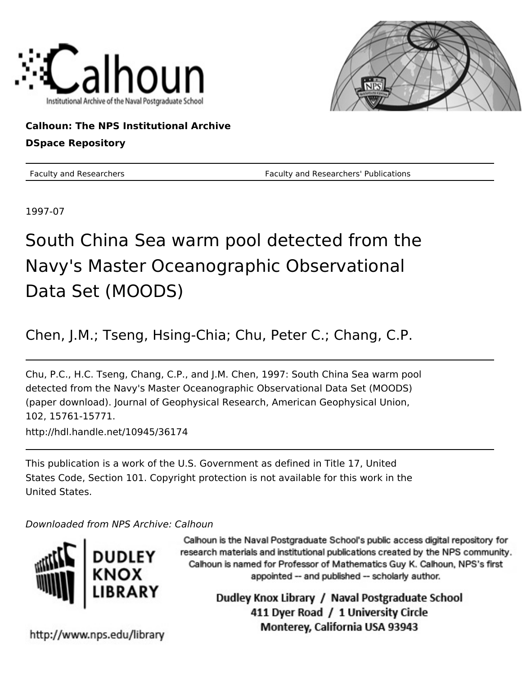



## **Calhoun: The NPS Institutional Archive DSpace Repository**

Faculty and Researchers Faculty and Researchers' Publications

1997-07

# South China Sea warm pool detected from the Navy's Master Oceanographic Observational Data Set (MOODS)

## Chen, J.M.; Tseng, Hsing-Chia; Chu, Peter C.; Chang, C.P.

Chu, P.C., H.C. Tseng, Chang, C.P., and J.M. Chen, 1997: South China Sea warm pool detected from the Navy's Master Oceanographic Observational Data Set (MOODS) (paper download). Journal of Geophysical Research, American Geophysical Union, 102, 15761-15771. http://hdl.handle.net/10945/36174

This publication is a work of the U.S. Government as defined in Title 17, United States Code, Section 101. Copyright protection is not available for this work in the United States.

## Downloaded from NPS Archive: Calhoun



Calhoun is the Naval Postgraduate School's public access digital repository for research materials and institutional publications created by the NPS community. Calhoun is named for Professor of Mathematics Guy K. Calhoun, NPS's first appointed -- and published -- scholarly author.

> Dudley Knox Library / Naval Postgraduate School 411 Dyer Road / 1 University Circle Monterey, California USA 93943

http://www.nps.edu/library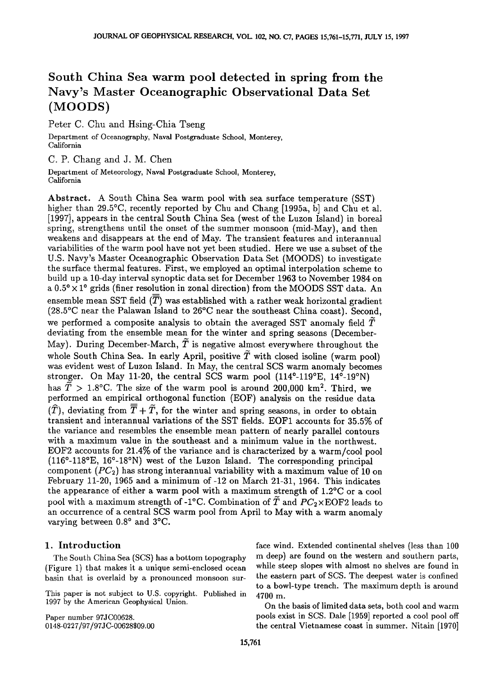## **South China Sea warm pool detected in spring from the Navys Master Oceanographic Observational Data Set (MOODS)**

**Peter C. Chu and Hsing-Chia Tseng** 

**Department of Oceanography, Naval Postgraduate School, Monterey, California** 

**C. P. Chang and J. M. Chen** 

**Department of Meteorology, Naval Postgraduate School, Monterey, California** 

**Abstract. A South China Sea warm pool with sea surface temperature (SST)**  higher than 29.5<sup>o</sup>C, recently reported by Chu and Chang [1995a, b] and Chu et al. **[1997], appears in the central South China Sea (west of the Luzon Island) in boreal spring, strengthens until the onset of the summer monsoon (mid-May), and then weakens and disappears at the end of May. The transient features and interannual variabilities of the warm pool have not yet been studied. Here we use a subset of the U.S. Navy's Master Oceanographic Observation Data Set (MOODS) to investigate the surface thermal features. First, we employed an optimal interpolation scheme to build up a 10-day interval synoptic data set for December 1963 to November 1984 on**  a  $0.5^{\circ} \times 1^{\circ}$  grids (finer resolution in zonal direction) from the MOODS SST data. An ensemble mean SST field  $(\overline{T})$  was established with a rather weak horizontal gradient **(28.5øC near the Palawan Island to 26øC near the southeast China coast). Second,**  we performed a composite analysis to obtain the averaged SST anomaly field  $\tilde{T}$ **deviating from the ensemble mean for the winter and spring seasons (December-**May). During December-March,  $\tilde{T}$  is negative almost everywhere throughout the whole South China Sea. In early April, positive  $\tilde{T}$  with closed isoline (warm pool) **was evident west of Luzon Island. In May, the central SCS warm anomaly becomes stronger. On May 11-20, the central SCS warm pool (114ø-119øE, 14ø-19øN)**  has  $\tilde{T} > 1.8$ °C. The size of the warm pool is around 200,000 km<sup>2</sup>. Third, we **performed an empirical orthogonal function (EOF) analysis on the residue data**   $(\widehat{T})$ , deviating from  $\overline{\overline{T}} + \widetilde{T}$ , for the winter and spring seasons, in order to obtain **transient and interannual variations of the SST fields. EOF1 accounts for 35.5% of the variance and resembles the ensemble mean pattern of nearly parallel contours with a maximum value in the southeast and a minimum value in the northwest. EOF2 accounts for 21.4% of the variance and is characterized by a warm/cool pool (116ø-118øE, 16ø-18øN) west of the Luzon Island. The corresponding principal**  component (PC<sub>2</sub>) has strong interannual variability with a maximum value of 10 on **February 11-20, 1965 and a minimum of-12 on March 21-31, 1964. This indicates**  the appearance of either a warm pool with a maximum strength of 1.2°C or a cool pool with a maximum strength of -1<sup>o</sup>C. Combination of  $\overline{T}$  and  $PC_2 \times \text{EOF2}$  leads to **an occurrence of a central SCS warm pool from April to May with a warm anomaly**  varying between  $0.8^{\circ}$  and  $3^{\circ}$ C.

#### **1. Introduction**

**The South China Sea (SCS) has a bottom topography (Figure 1) that makes it a unique semi-enclosed ocean basin that is overlaid by a pronounced monsoon sur-**

**This paper is not subject to U.S. copyright. Published in 1997 by the American Geophysical Union.** 

**Paper number 97JC00628. 0148-0227 / 97 / 97J C- 00628509.00**  **face wind. Extended continental shelves (less than 100 rn deep) are found on the western and southern parts, while steep slopes with almost no shelves are found in the eastern part of SCS. The deepest water is confined to a bowl-type trench. The maximum depth is around 4700 m.** 

**On the basis of limited data sets, both cool and warm pools exist in SCS. Dale [1959] reported a cool pool off**  the central Vietnamese coast in summer. Nitain [1970]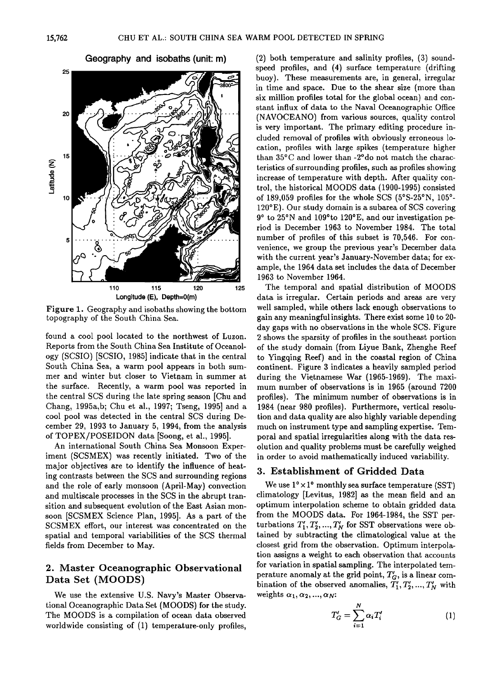



**Figure 1. Geography and isobaths showing the bottom topography of the South China Sea.** 

**found a cool pool located to the northwest of Luzon. Reports from the South China Sea Institute of Oceanology (SCSIO) [SCSIO, 1985] indicate that in the central South China Sea, a warm pool appears in both summer and winter but closer to Vietnam in summer at the surface. Recently, a warm pool was reported in the central SCS during the late spring season [Chu and Chang, 1995a,b; Chu et al., 1997; Tseng, 1995] and a cool pool was detected in the central SCS during December 29, 1993 to January 5, 1994, from the analysis of TOPEX/POSEIDON data [Soong, et al., 1995].** 

**An international South China Sea Monsoon Experiment (SCSMEX) was recently initiated. Two of the major objectives are to identify the influence of heating contrasts between the SCS and surrounding regions and the role of early monsoon (April-May) convection and multiscale processes in the SCS in the abrupt transition and subsequent evolution of the East Asian monsoon [SCSMEX Science Plan, 1995]. As a part of the SCSMEX effort, our interest was concentrated on the spatial and temporal variabilities of the SCS thermal fields from December to May.** 

#### **2. Master Oceanographic Observational Data Set (MOODS)**

**We use the extensive U.S. Navy's Master Observational Oceanographic Data Set (MOODS) for the study. The MOODS is a compilation of ocean data observed worldwide consisting of (1) temperature-only profiles,** 

**(2) both temperature and salinity profiles, (3) soundspeed profiles, and (4) surface temperature (drifting buoy). These measurements are, in general, irregular in time and space. Due to the shear size (more than six million profiles total for the global ocean) and con**stant influx of data to the Naval Oceanographic Office **(NAVOCEANO) from various sources, quality control is very important. The primary editing procedure included removal of profiles with obviously erroneous location, profiles with large spikes (temperature higher than 35øC and lower than-2ødo not match the characteristics of surrounding profiles, such as profiles showing increase of temperature with depth. After quality control, the historical MOODS data (1900-1995) consisted of 189,059 profiles for the whole SCS (5øS-25øN, 1050- 1200 E). Our study domain is a subarea of SCS covering 90 to 25øN and 109øto 120øE, and our investigation period is December 1963 to November 1984. The total number of profiles of this subset is 70,546. For convenience, we group the previous year's December data with the current year's January-November data; for example, the 1964 data set includes the data of December 1963 to November 1964.** 

**The temporal and spatial distribution of MOODS data is irregular. Certain periods and areas are very well sampled, while others lack enough observations to gain any meaningful insights. There exist some 10 to 20 day gaps with no observations in the whole SCS. Figure 2 shows the sparsity of profiles in the southeast portion of the study domain (from Liyue Bank, Zhenghe Reef to Yingqing Reef) and in the coastal region of China continent. Figure 3 indicates a heavily sampled period during the Vietnamese War (1965-1969). The maximum number of observations is in 1965 (around 7200 profiles). The minimum number of observations is in 1984 (near 980 profiles). Furthermore, vertical resolution and data quality are also highly variable depending much on instrument type and sampling expertise. Temporal and spatial irregularities along with the data resolution and quality problems must be carefully weighed in order to avoid mathematically induced variability.** 

#### **3. Establishment of Gridded Data**

We use  $1^{\circ} \times 1^{\circ}$  monthly sea surface temperature (SST) **climatology [Levitus, 1982] as the mean field and an optimum interpolation scheme to obtain gridded data from the MOODS data. For 1964-1984, the SST per**turbations  $T_1', T_2', ..., T_N'$  for SST observations were ob**tained by subtracting the climatological value at the closest grid from the observation. Optimum interpolation assigns a weight to each observation that accounts for variation in spatial sampling. The interpolated tem**perature anomaly at the grid point,  $T_G'$ , is a linear combination of the observed anomalies,  $\overline{T'_1}, T'_2, ..., T'_N$  with weights  $\alpha_1, \alpha_2, ..., \alpha_N$ :

$$
T'_G = \sum_{i=1}^N \alpha_i T'_i \tag{1}
$$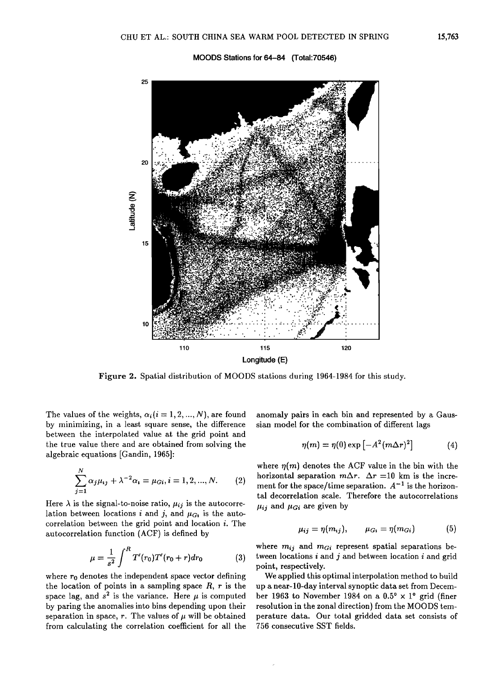



**Figure 2. Spatial distribution of MOODS stations during 1964-1984 for this study.** 

The values of the weights,  $\alpha_i$  ( $i = 1, 2, ..., N$ ), are found **by minimizing, in a least square sense, the difference between the interpolated value at the grid point and the true value there and are obtained from solving the algebraic equations [Gandin, 1965]:** 

$$
\sum_{j=1}^{N} \alpha_j \mu_{ij} + \lambda^{-2} \alpha_i = \mu_{Gi}, i = 1, 2, ..., N.
$$
 (2)

Here  $\lambda$  is the signal-to-noise ratio,  $\mu_{ij}$  is the autocorrelation between locations *i* and *j*, and  $\mu_{G_1}$  is the auto**correlation between the grid point and location i. The autocorrelation function (ACF) is defined by** 

$$
\mu = \frac{1}{s^2} \int^R T'(r_0) T'(r_0 + r) dr_0 \tag{3}
$$

where  $r_0$  denotes the independent space vector defining **the location of points in a sampling space R, r is the**  space lag, and  $s^2$  is the variance. Here  $\mu$  is computed **by paring the anomalies into bins depending upon their**  separation in space,  $r$ . The values of  $\mu$  will be obtained **from calculating the correlation coefficient for all the** 

**anomaly pairs in each bin and represented by a Gaussian model for the combination of different lags** 

$$
\eta(m) = \eta(0) \exp\left[-A^2 (m\Delta r)^2\right] \tag{4}
$$

where  $\eta(m)$  denotes the ACF value in the bin with the horizontal separation  $m\Delta r$ .  $\Delta r = 10$  km is the increment for the space/time separation.  $A^{-1}$  is the horizon**tal decorrelation scale. Therefore the autocorrelations**   $\mu_{ij}$  and  $\mu_{Gi}$  are given by

$$
\mu_{ij} = \eta(m_{ij}), \qquad \mu_{G_i} = \eta(m_{Gi}) \tag{5}
$$

where  $m_{ij}$  and  $m_{Gi}$  represent spatial separations be**tween locations i and j and between location i and grid point, respectively.** 

**We applied this optimal interpolation method to build up a near-10-day interval synoptic data set from Decem**ber 1963 to November 1984 on a  $0.5^{\circ} \times 1^{\circ}$  grid (finer **resolution in the zonal direction) from the MOODS temperature data. Our total gridded data set consists of 756 consecutive SST fields.**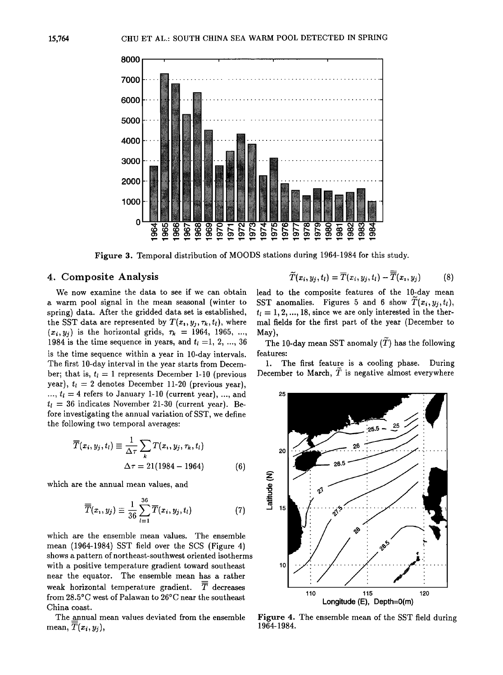

**Figure 3. Temporal distribution of MOODS stations during 1964-1984 for this study.** 

#### **4. Composite Analysis**

$$
\widetilde{T}(x_i, y_j, t_l) = \overline{T}(x_i, y_j, t_l) - \overline{T}(x_i, y_j)
$$
 (8)

**We now examine the data to see if we can obtain a warm pool signal in the mean seasonal (winter to spring) data. After the gridded data set is established,**  the SST data are represented by  $T(x_i, y_i, \tau_k, t_i)$ , where  $(x_i, y_j)$  is the horizontal grids,  $\tau_k = 1964, 1965, ...$ **1984 is the time sequence in years, and**  $t<sub>l</sub> = 1, 2, ..., 36$ **is the time sequence within a year in 10-day intervals. The first 10-day interval in the year starts from Decem**ber; that is,  $t_l = 1$  represents December 1-10 (previous year),  $t_i = 2$  denotes December 11-20 (previous year),  $\ldots$ ,  $t_l = 4$  refers to January 1-10 (current year), ..., and  $t_i = 36$  indicates November 21-30 (current year). Be**fore investigating the annual variation of SST, we define the following two temporal averages:** 

$$
\overline{T}(x_i, y_j, t_l) \equiv \frac{1}{\Delta \tau} \sum_{k} T(x_i, y_j, \tau_k, t_l)
$$

$$
\Delta \tau = 21(1984 - 1964) \tag{6}
$$

**which are the annual mean values, and** 

$$
\overline{\overline{T}}(x_i, y_j) \equiv \frac{1}{36} \sum_{l=1}^{36} \overline{T}(x_i, y_j, t_l)
$$
 (7)

**which are the ensemble mean values. The ensemble mean (1964-1984) SST field over the SCS (Figure 4) shows a pattern of northeast-southwest oriented isotherms with a positive temperature gradient toward southeast near the equator. The ensemble mean has a rather**  weak horizontal temperature gradient.  $\overline{\overline{T}}$  decreases **from 28.5øC west of Palawan to 26øC near the southeast China coast.** 

**The annual mean values deviated from the ensemble**  mean,  $\overline{T}(x_i, y_i)$ ,

lead to the composite features of the 10-day mean SST anomalies. Figures 5 and 6 show  $\overline{T}(x_i, y_j, t_l)$ ,  $t_i = 1, 2, ..., 18$ , since we are only interested in the ther**mal fields for the first part of the year (December to May),** 

The 10-day mean SST anomaly  $(T)$  has the following **features:** 

**1. The first feature is a cooling phase. During December to March, T is negative almost everywhere** 



**Figure 4. The ensemble mean of the SST field during 1964-1984.**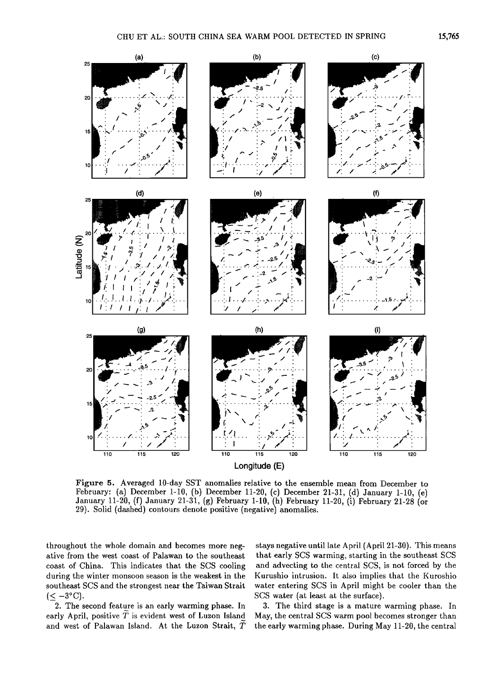

**Figure 5. Averaged 10-day SST anomalies relative to the ensemble mean from December to**  February: (a) December 1-10, (b) December 11-20, (c) December 21-31, (d) January 1-10, (e) **January 11-20, (f) January 21-31, (g) February 1-10, (h) February 11-20, (i) February 21-28 (or 29). Solid (dashed) contours denote positive (negative) anomalies.** 

**throughout the whole domain and becomes more negative from the west coast of Palawan to the southeast coast of China. This indicates that the SCS cooling during the winter monsoon season is the weakest in the southeast SCS and the strongest near the Taiwan Strait**   $(\leq -3^{\circ}C).$ 

**2. The second feature is an early warming phase. In**  early April, positive  $\tilde{T}$  is evident west of Luzon Island **and west of Palawan Island. At the Luzon Strait, T** 

**stays negative until late April (April 21-30). This means that early SCS warming, starting in the southeast SCS and advecting to the central SCS, is not forced by the Kurushio intrusion. It also implies that the Kuroshio water entering SCS in April might be cooler than the SCS water (at least at the surface).** 

**3. The third stage is a mature warming phase. In May, the central SCS warm pool becomes stronger than the early warming phase. During May 11-20, the central**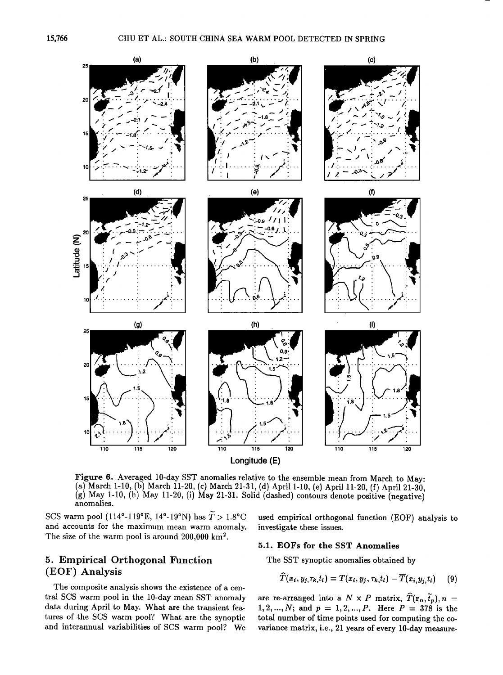

**Longitude (E)** 

**Figure 6. Averaged 10-day SST anomalies relative to the ensemble mean from March to May:**  (a) March 1-10, (b) March 11-20, (c) March 21-31, (d) April 1-10, (e) April 11-20, (f) April 21-30, **(g) May 1-10, (h) May 11-20, (i) May 21-31. Solid (dashed) contours denote positive (negative) anomalies.** 

SCS warm pool (114<sup>°</sup>-119<sup>°</sup>E, 14<sup>°</sup>-19<sup>°</sup>N) has  $\widetilde{T} > 1.8$ <sup>°</sup>C **and accounts for the maximum mean warm anomaly.**  The size of the warm pool is around 200,000 km<sup>2</sup>.

#### **5. Empirical Orthogonal Function (EOF) Analysis**

**The composite analysis shows the existence of a central SCS warm pool in the 10-day mean SST anomaly data during April to May. What are the transient features of the SCS warm pool? What are the synoptic and interannual variabilities of SCS warm pool? We** 

**used empirical orthogonal function (EOF) analysis to investigate these issues.** 

#### **5.1. EOFs for the SST Anomalies**

**The SST synoptic anomalies obtained by** 

$$
\widehat{T}(x_i,y_j,\tau_k,t_l)=T(x_i,y_j,\tau_k,t_l)-\overline{T}(x_i,y_j,t_l) \qquad (9)
$$

are re-arranged into a  $N \times P$  matrix,  $\widehat{T}(\mathbf{r}_n, \widetilde{t}_p), n =$  $1, 2, ..., N$ ; and  $p = 1, 2, ..., P$ . Here  $P = 378$  is the **total number of time points used for computing the covariance matrix, i.e., 21 years of every 10-day measure-**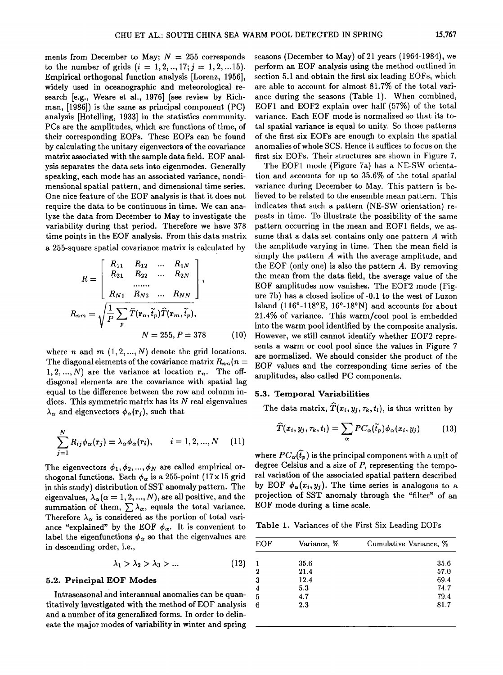ments from December to May;  $N = 255$  corresponds to the number of grids  $(i = 1, 2, ..., 17; j = 1, 2, ... 15)$ . **Empirical orthogonal function analysis [Lorenz, 1956], widely used in oceanographic and meteorological research [e.g., Weare et al., 1976] (see review by Rich**man, [1986]) is the same as principal component (PC) **analysis [Hotelling, 1933] in the statistics community. PCs are the amplitudes, which are functions of time, of their corresponding EOFs. These EOFs can be found by calculating the unitary eigenvectors of the covariance matrix associated with the sample data field. EOF analysis separates the data sets into eigenmodes. Generally speaking, each mode has an associated variance, nondimensional spatial pattern, and dimensional time series. One nice feature of the EOF analysis is that it does not require the data to be continuous in time. We can analyze the data from December to May to investigate the variability during that period. Therefore we have 378 time points in the EOF analysis. From this data matrix a 255-square spatial covariance matrix is calculated by** 

$$
R = \begin{bmatrix} R_{11} & R_{12} & \dots & R_{1N} \\ R_{21} & R_{22} & \dots & R_{2N} \\ \dots & \dots & \dots & \dots \\ R_{N1} & R_{N2} & \dots & R_{NN} \end{bmatrix},
$$
  

$$
R_{nm} = \sqrt{\frac{1}{P} \sum_{p} \hat{T}(\mathbf{r}_n, \tilde{t}_p) \hat{T}(\mathbf{r}_m, \tilde{t}_p)},
$$
  

$$
N = 255, P = 378
$$
 (10)

where *n* and *m*  $(1, 2, ..., N)$  denote the grid locations. The diagonal elements of the covariance matrix  $R_{nn}(n =$ 1, 2, ..., N) are the variance at location  $r_n$ . The off**diagonal elements are the covariance with spatial lag equal to the difference between the row and column indices. This symmetric matrix has its N real eigenvalues**   $\lambda_{\alpha}$  and eigenvectors  $\phi_{\alpha}(\mathbf{r}_i)$ , such that

$$
\sum_{j=1}^{N} R_{ij} \phi_{\alpha}(\mathbf{r}_{j}) = \lambda_{\alpha} \phi_{\alpha}(\mathbf{r}_{i}), \qquad i = 1, 2, ..., N \quad (11)
$$

The eigenvectors  $\phi_1, \phi_2, ..., \phi_N$  are called empirical orthogonal functions. Each  $\phi_{\alpha}$  is a 255-point (17 x 15 grid **in this study) distribution of SST anomaly pattern. The**  eigenvalues,  $\lambda_{\alpha}$  ( $\alpha = 1, 2, ..., N$ ), are all positive, and the summation of them,  $\sum \lambda_{\alpha}$ , equals the total variance. Therefore  $\lambda_{\alpha}$  is considered as the portion of total variance "explained" by the EOF  $\phi_{\alpha}$ . It is convenient to label the eigenfunctions  $\phi_{\alpha}$  so that the eigenvalues are **in descending order, i.e.,** 

$$
\lambda_1 > \lambda_2 > \lambda_3 > \dots \tag{12}
$$

#### **5.2. Principal EOF Modes**

Intraseasonal and interannual anomalies can be quan**titatively investigated with the method of EOF analysis 6 and a number of its generalized forms. In order to delineate the major modes of variability in winter and spring**  seasons (December to May) of 21 years (1964-1984), we **perform an EOF analysis using the method outlined in section 5.1 and obtain the first six leading EOFs, which are able to account for almost 81.7% of the total variance during the seasons (Table 1). When combined, EOF1 and EOF2 explain over half (57%) of the total variance. Each EOF mode is normalized so that its total spatial variance is equal to unity. So those patterns of the first six EOFs are enough to explain the spatial anomalies of whole SCS. Hence it suffices to focus on the first six EOFs. Their structures are shown in Figure 7.** 

**The EOF1 mode (Figure 7a) has a NE-SW orientation and accounts for up to 35.6% of the total spatial variance during December to May. This pattern is believed to be related to the ensemble mean pattern. This indicates that such a pattern (NE-SW orientation) repeats in time. To illustrate the possibility of the same pattern occurring in the mean and EOF1 fields, we assume that a data set contains only one pattern A with the amplitude varying in time. Then the mean field is simply the pattern A with the average amplitude, and the EOF (only one) is also the pattern A. By removing the mean from the data field, the average value of the EOF amplitudes now vanishes. The EOF2 mode (Figure 7b) has a closed isoline of-0.1 to the west of Luzon Island (116ø-118øE, 16ø-18øN) and accounts for about 21.4% of variance. This warm/cool pool is embedded into the warm pool identified by the composite analysis. However, we still cannot identify whether EOF2 represents a warm or cool pool since the values in Figure 7 are normalized. We should consider the product of the EOF values and the corresponding time series of the amplitudes, also called PC components.** 

#### **5.3. Temporal Variabilities**

The data matrix,  $\widehat{T}(x_i, y_j, \tau_k, t_l)$ , is thus written by

$$
\widehat{T}(x_i, y_j, \tau_k, t_l) = \sum_{\alpha} PC_{\alpha}(\widetilde{t}_p) \phi_{\alpha}(x_i, y_j) \qquad (13)
$$

where  $PC_{\alpha}(\tilde{t}_p)$  is the principal component with a unit of **degree Celsius and a size of P, representing the temporal variation of the associated spatial pattern described**  by EOF  $\phi_{\alpha}(x_i, y_i)$ . The time series is analogous to a **projection of SST anomaly through the "filter" of an EOF mode during a time scale.** 

**Table 1. Variances of the First Six Leading EOFs** 

| <b>EOF</b>              | Variance, % | Cumulative Variance, % |
|-------------------------|-------------|------------------------|
|                         | 35.6        | 35.6                   |
| $\boldsymbol{2}$        | 21.4        | 57.0                   |
| 3                       | 12.4        | 69.4                   |
| $\overline{\mathbf{4}}$ | 5.3         | 74.7                   |
| 5                       | 4.7         | 79.4                   |
| 6                       | 2.3         | 81.7                   |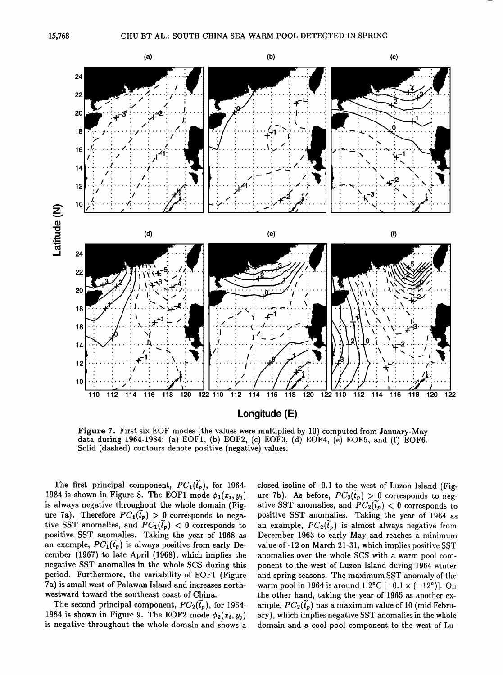

Figure 7. First six EOF modes (the values were multiplied by 10) computed from January-May data during 1964-1984: (a) EOF1, (b) EOF2, (c) EOF3, (d) EOF4, (e) EOF5, and (f) EOF6. Solid (dashed) contours denote positive (negative) values.

The first principal component,  $PC_1(\tilde{t}_p)$ , for 1964-1984 is shown in Figure 8. The EOF1 mode  $\phi_1(x_i, y_i)$ is always negative throughout the whole domain (Figure 7a). Therefore  $PC_1(\tilde{t}_p) > 0$  corresponds to negative SST anomalies, and  $PC_1(\tilde{t}_p) < 0$  corresponds to positive SST anomalies. Taking the year of 1968 as an example,  $PC_1(\tilde{t}_p)$  is always positive from early December (1967) to late April (1968), which implies the negative SST anomalies in the whole SCS during this period. Furthermore, the variability of EOF1 (Figure 7a) is small west of Palawan Island and increases northwestward toward the southeast coast of China.

The second principal component,  $PC_2(\tilde{t}_p)$ , for 1964-1984 is shown in Figure 9. The EOF2 mode  $\phi_2(x_i, y_i)$ is negative throughout the whole domain and shows a closed isoline of -0.1 to the west of Luzon Island (Figure 7b). As before,  $PC_2(\tilde{t}_p) > 0$  corresponds to negative SST anomalies, and  $PC_2(\tilde{t}_p) < 0$  corresponds to positive SST anomalies. Taking the year of 1964 as an example,  $PC_2(\tilde{t}_p)$  is almost always negative from December 1963 to early May and reaches a minimum value of -12 on March 21-31, which implies positive SST anomalies over the whole SCS with a warm pool component to the west of Luzon Island during 1964 winter and spring seasons. The maximum SST anomaly of the warm pool in 1964 is around  $1.2^{\circ}$ C [-0.1  $\times$  (-12°)]. On the other hand, taking the year of 1965 as another example,  $PC_2(\tilde{t}_p)$  has a maximum value of 10 (mid February), which implies negative SST anomalies in the whole domain and a cool pool component to the west of Lu-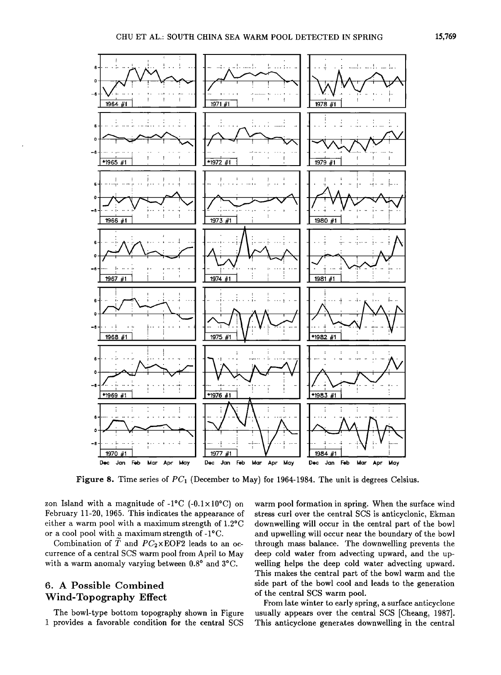

Figure 8. Time series of  $PC_1$  (December to May) for 1964-1984. The unit is degrees Celsius.

zon Island with a magnitude of  $-1^{\circ}C$  ( $-0.1 \times 10^{\circ}C$ ) on **February 11-20, 1965. This indicates the appearance of either a warm pool with a maximum strength of 1.2øC or a cool pool with a maximum strength of-iøC.** 

Combination of  $\tilde{T}$  and  $PC_2 \times \text{EOF2}$  leads to an oc**currence of a central SCS warm pool from April to May**  with a warm anomaly varying between  $0.8^{\circ}$  and  $3^{\circ}$ C.

### **6. A Possible Combined Wind-Topography Effect**

**The bowl-type bottom topography shown in Figure i provides a favorable condition for the central SCS** 

**warm pool formation in spring. When the surface wind stress curl over the central SCS is anticyclonic, Ekman downwelling will occur in the central part of the bowl and upwelling will occur near the boundary of the bowl through mass balance. The downwelling prevents the deep cold water from advecting upward, and the upwelling helps the deep cold water advecting upward. This makes the central part of the bowl warm and the side part of the bowl cool and leads to the generation of the central \$CS warm pool.** 

**From late winter to early spring, a surface anticyclone usually appears over the central SCS [Cheang, 1987]. This anticyclone generates downwelling in the central**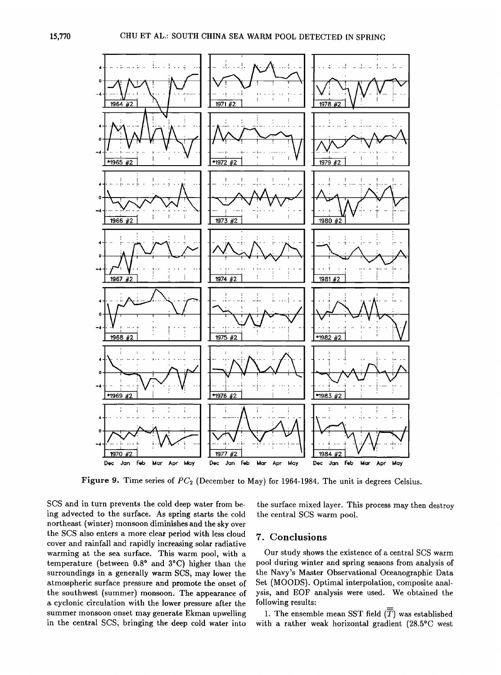

Figure 9. Time series of  $PC<sub>2</sub>$  (December to May) for 1964-1984. The unit is degrees Celsius.

SCS and in turn prevents the cold deep water from being advected to the surface. As spring starts the cold northeast (winter) monsoon diminishes and the sky over the SCS also enters a more clear period with less cloud cover and rainfall and rapidly increasing solar radiative warming at the sea surface. This warm pool, with a temperature (between  $0.8^{\circ}$  and  $3^{\circ}$ C) higher than the surroundings in a generally warm SCS, may lower the atmospheric surface pressure and promote the onset of the southwest (summer) monsoon. The appearance of a cyclonic circulation with the lower pressure after the summer monsoon onset may generate Ekman upwelling in the central SCS, bringing the deep cold water into

the surface mixed layer. This process may then destroy the central SCS warm pool.

#### 7. Conclusions

Our study shows the existence of a central SCS warm pool during winter and spring seasons from analysis of the Navy's Master Observational Oceanographic Data Set (MOODS). Optimal interpolation, composite analysis, and EOF analysis were used. We obtained the following results:

1. The ensemble mean SST field  $(\overline{T})$  was established with a rather weak horizontal gradient (28.5°C west